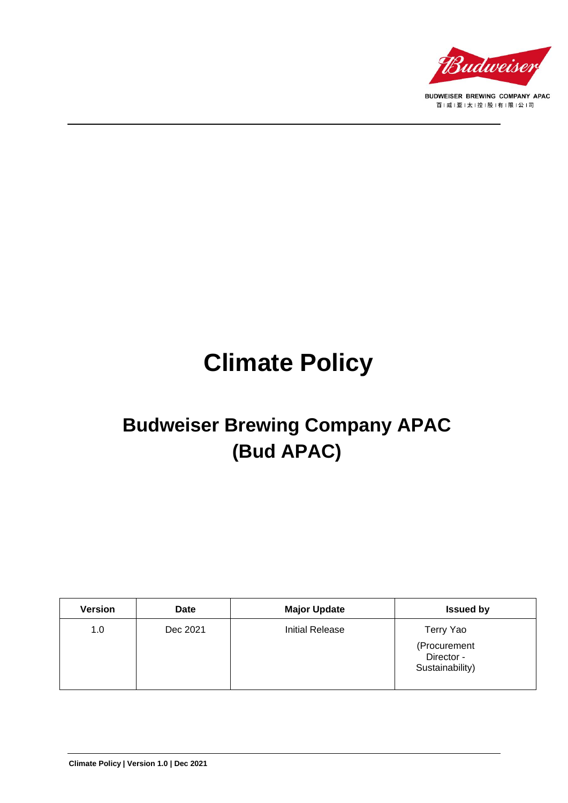

BUDWEISER BREWING COMPANY APAC 百|威|亚|太|控|股|有|限|公|司

# **Climate Policy**

# **Budweiser Brewing Company APAC (Bud APAC)**

| <b>Version</b> | <b>Date</b> | <b>Major Update</b> | <b>Issued by</b>                              |
|----------------|-------------|---------------------|-----------------------------------------------|
| 1.0            | Dec 2021    | Initial Release     | Terry Yao                                     |
|                |             |                     | (Procurement<br>Director -<br>Sustainability) |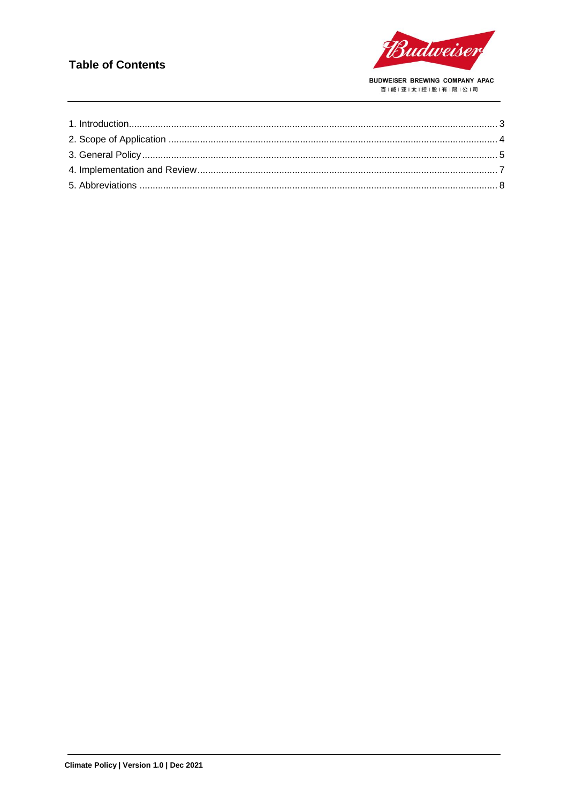#### **Table of Contents**

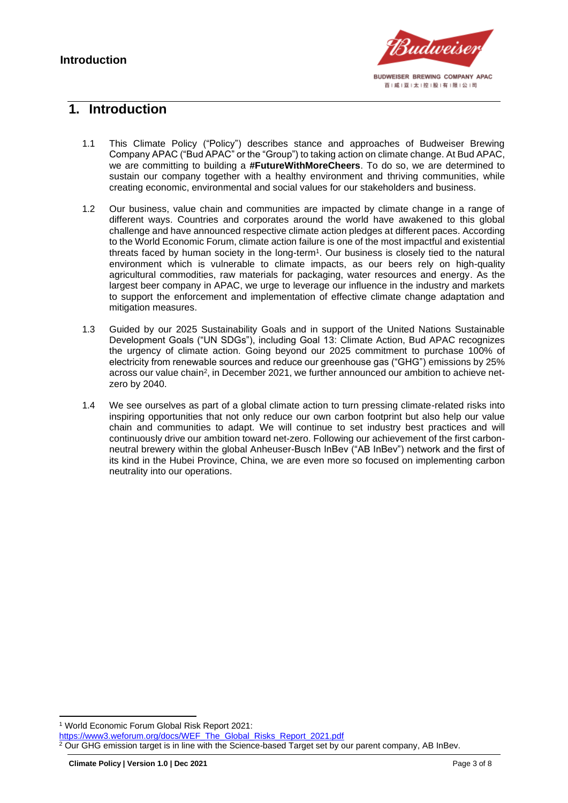

#### <span id="page-2-0"></span>**1. Introduction**

- 1.1 This Climate Policy ("Policy") describes stance and approaches of Budweiser Brewing Company APAC ("Bud APAC" or the "Group") to taking action on climate change. At Bud APAC, we are committing to building a **#FutureWithMoreCheers**. To do so, we are determined to sustain our company together with a healthy environment and thriving communities, while creating economic, environmental and social values for our stakeholders and business.
- 1.2 Our business, value chain and communities are impacted by climate change in a range of different ways. Countries and corporates around the world have awakened to this global challenge and have announced respective climate action pledges at different paces. According to the World Economic Forum, climate action failure is one of the most impactful and existential threats faced by human society in the long-term<sup>1</sup> . Our business is closely tied to the natural environment which is vulnerable to climate impacts, as our beers rely on high-quality agricultural commodities, raw materials for packaging, water resources and energy. As the largest beer company in APAC, we urge to leverage our influence in the industry and markets to support the enforcement and implementation of effective climate change adaptation and mitigation measures.
- 1.3 Guided by our 2025 Sustainability Goals and in support of the United Nations Sustainable Development Goals ("UN SDGs"), including Goal 13: Climate Action, Bud APAC recognizes the urgency of climate action. Going beyond our 2025 commitment to purchase 100% of electricity from renewable sources and reduce our greenhouse gas ("GHG") emissions by 25% across our value chain<sup>2</sup>, in December 2021, we further announced our ambition to achieve netzero by 2040.
- 1.4 We see ourselves as part of a global climate action to turn pressing climate-related risks into inspiring opportunities that not only reduce our own carbon footprint but also help our value chain and communities to adapt. We will continue to set industry best practices and will continuously drive our ambition toward net-zero. Following our achievement of the first carbonneutral brewery within the global Anheuser-Busch InBev ("AB InBev") network and the first of its kind in the Hubei Province, China, we are even more so focused on implementing carbon neutrality into our operations.

[https://www3.weforum.org/docs/WEF\\_The\\_Global\\_Risks\\_Report\\_2021.pdf](https://www3.weforum.org/docs/WEF_The_Global_Risks_Report_2021.pdf)

<sup>1</sup> World Economic Forum Global Risk Report 2021:

<sup>&</sup>lt;sup>2</sup> Our GHG emission target is in line with the Science-based Target set by our parent company, AB InBev.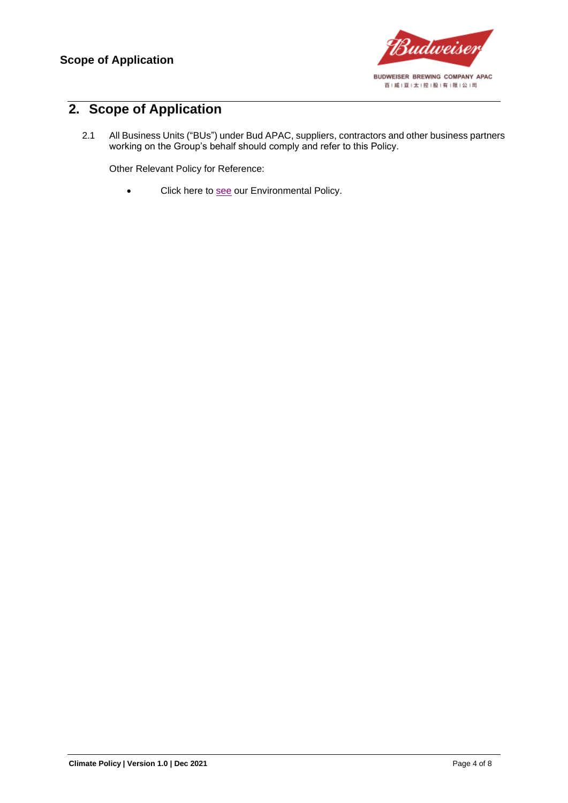

### <span id="page-3-0"></span>**2. Scope of Application**

2.1 All Business Units ("BUs") under Bud APAC, suppliers, contractors and other business partners working on the Group's behalf should comply and refer to this Policy.

Other Relevant Policy for Reference:

• Click here to [see](https://budweiserapac.com/ace_files/files/policy2021/BudAPAC_Environmental%20Policy.pdf) our Environmental Policy.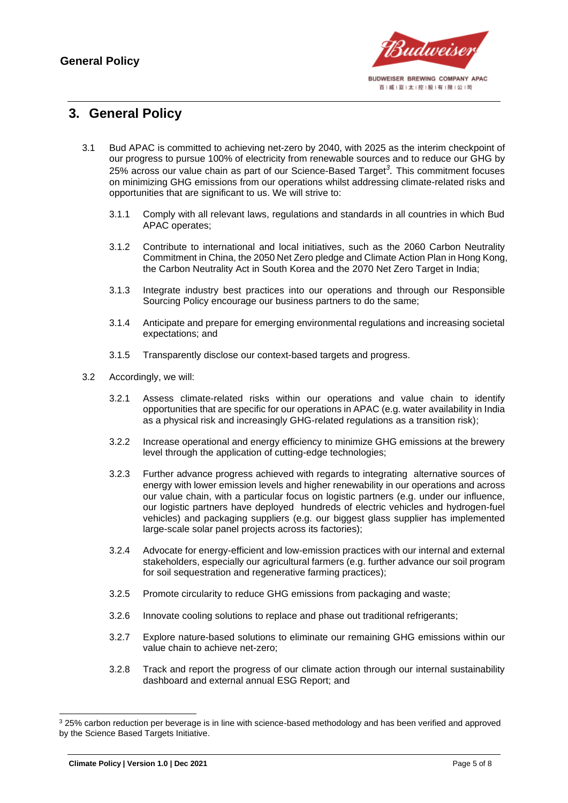

#### <span id="page-4-0"></span>**3. General Policy**

- 3.1 Bud APAC is committed to achieving net-zero by 2040, with 2025 as the interim checkpoint of our progress to pursue 100% of electricity from renewable sources and to reduce our GHG by 25% across our value chain as part of our Science-Based Target*<sup>3</sup> .* This commitment focuses on minimizing GHG emissions from our operations whilst addressing climate-related risks and opportunities that are significant to us. We will strive to:
	- 3.1.1 Comply with all relevant laws, regulations and standards in all countries in which Bud APAC operates;
	- 3.1.2 Contribute to international and local initiatives, such as the 2060 Carbon Neutrality Commitment in China, the 2050 Net Zero pledge and Climate Action Plan in Hong Kong, the Carbon Neutrality Act in South Korea and the 2070 Net Zero Target in India;
	- 3.1.3 Integrate industry best practices into our operations and through our Responsible Sourcing Policy encourage our business partners to do the same;
	- 3.1.4 Anticipate and prepare for emerging environmental regulations and increasing societal expectations; and
	- 3.1.5 Transparently disclose our context-based targets and progress.
- 3.2 Accordingly, we will:
	- 3.2.1 Assess climate-related risks within our operations and value chain to identify opportunities that are specific for our operations in APAC (e.g. water availability in India as a physical risk and increasingly GHG-related regulations as a transition risk);
	- 3.2.2 Increase operational and energy efficiency to minimize GHG emissions at the brewery level through the application of cutting-edge technologies;
	- 3.2.3 Further advance progress achieved with regards to integrating alternative sources of energy with lower emission levels and higher renewability in our operations and across our value chain, with a particular focus on logistic partners (e.g. under our influence, our logistic partners have deployed hundreds of electric vehicles and hydrogen-fuel vehicles) and packaging suppliers (e.g. our biggest glass supplier has implemented large-scale solar panel projects across its factories);
	- 3.2.4 Advocate for energy-efficient and low-emission practices with our internal and external stakeholders, especially our agricultural farmers (e.g. further advance our soil program for soil sequestration and regenerative farming practices);
	- 3.2.5 Promote circularity to reduce GHG emissions from packaging and waste;
	- 3.2.6 Innovate cooling solutions to replace and phase out traditional refrigerants;
	- 3.2.7 Explore nature-based solutions to eliminate our remaining GHG emissions within our value chain to achieve net-zero;
	- 3.2.8 Track and report the progress of our climate action through our internal sustainability dashboard and external annual ESG Report; and

<sup>3</sup> 25% carbon reduction per beverage is in line with science-based methodology and has been verified and approved by the Science Based Targets Initiative.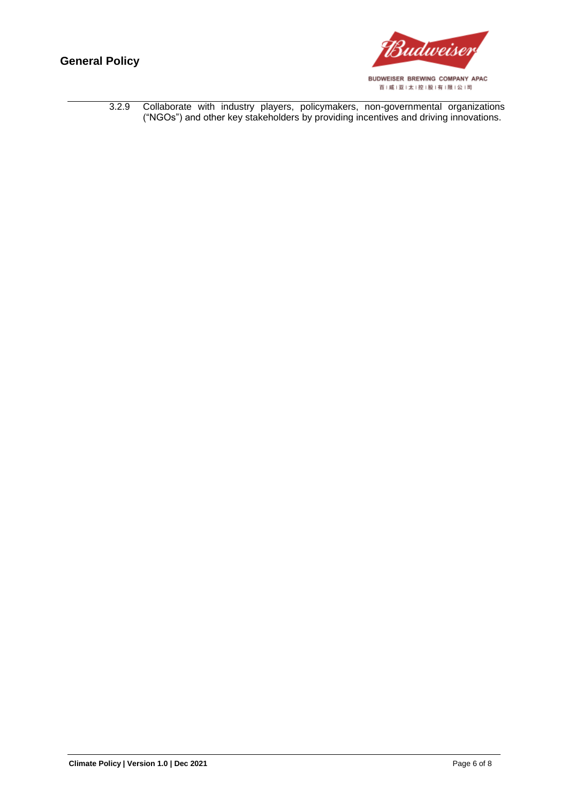

|  |  |  | 3.2.9 Collaborate with industry players, policymakers, non-governmental organizations |  |
|--|--|--|---------------------------------------------------------------------------------------|--|
|  |  |  | ("NGOs") and other key stakeholders by providing incentives and driving innovations.  |  |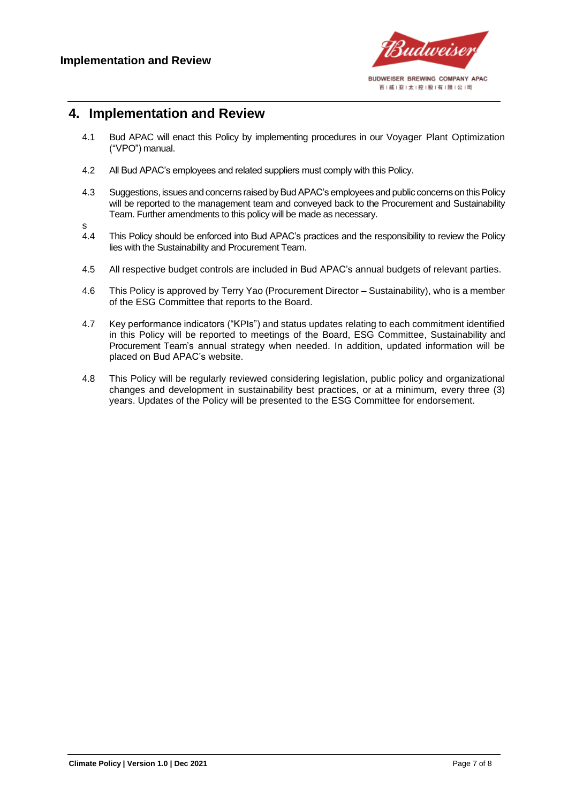

#### <span id="page-6-0"></span>**4. Implementation and Review**

- 4.1 Bud APAC will enact this Policy by implementing procedures in our Voyager Plant Optimization ("VPO") manual.
- 4.2 All Bud APAC's employees and related suppliers must comply with this Policy.
- 4.3 Suggestions, issues and concerns raised by Bud APAC's employees and public concerns on this Policy will be reported to the management team and conveyed back to the Procurement and Sustainability Team. Further amendments to this policy will be made as necessary.
- 
- s<br>4.4 This Policy should be enforced into Bud APAC's practices and the responsibility to review the Policy lies with the Sustainability and Procurement Team.
- 4.5 All respective budget controls are included in Bud APAC's annual budgets of relevant parties.
- 4.6 This Policy is approved by Terry Yao (Procurement Director Sustainability), who is a member of the ESG Committee that reports to the Board.
- 4.7 Key performance indicators ("KPIs") and status updates relating to each commitment identified in this Policy will be reported to meetings of the Board, ESG Committee, Sustainability and Procurement Team's annual strategy when needed. In addition, updated information will be placed on Bud APAC's website.
- 4.8 This Policy will be regularly reviewed considering legislation, public policy and organizational changes and development in sustainability best practices, or at a minimum, every three (3) years. Updates of the Policy will be presented to the ESG Committee for endorsement.